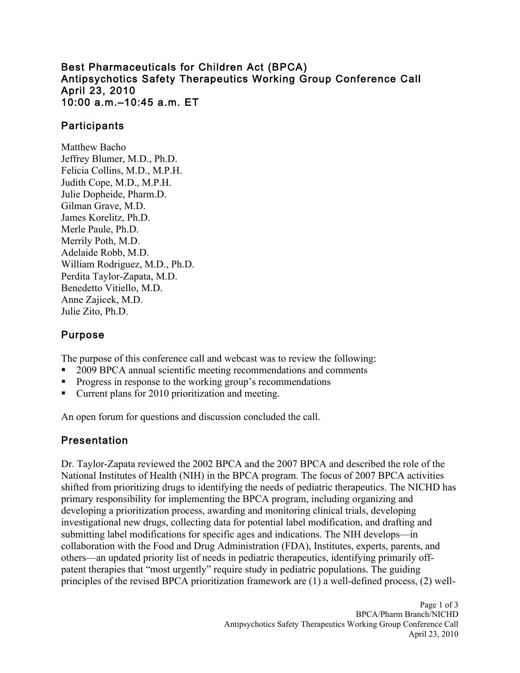#### Best Pharmaceuticals for Children Act (BPCA) Antipsychotics Safety Therapeutics Working Group Conference Call April 23, 2010 10:00 a.m.–10:45 a.m. ET

### **Participants**

Matthew Bacho Jeffrey Blumer, M.D., Ph.D. Felicia Collins, M.D., M.P.H. Judith Cope, M.D., M.P.H. Julie Dopheide, Pharm.D. Gilman Grave, M.D. James Korelitz, Ph.D. Merle Paule, Ph.D. Merrily Poth, M.D. Adelaide Robb, M.D. William Rodriguez, M.D., Ph.D. Perdita Taylor-Zapata, M.D. Benedetto Vitiello, M.D. Anne Zajicek, M.D. Julie Zito, Ph.D.

#### Purpose

The purpose of this conference call and webcast was to review the following:

- 2009 BPCA annual scientific meeting recommendations and comments
- **Progress in response to the working group's recommendations**
- Current plans for 2010 prioritization and meeting.

An open forum for questions and discussion concluded the call.

### Presentation

Dr. Taylor-Zapata reviewed the 2002 BPCA and the 2007 BPCA and described the role of the National Institutes of Health (NIH) in the BPCA program. The focus of 2007 BPCA activities shifted from prioritizing drugs to identifying the needs of pediatric therapeutics. The NICHD has primary responsibility for implementing the BPCA program, including organizing and developing a prioritization process, awarding and monitoring clinical trials, developing investigational new drugs, collecting data for potential label modification, and drafting and submitting label modifications for specific ages and indications. The NIH develops—in collaboration with the Food and Drug Administration (FDA), Institutes, experts, parents, and others—an updated priority list of needs in pediatric therapeutics, identifying primarily offpatent therapies that "most urgently" require study in pediatric populations. The guiding principles of the revised BPCA prioritization framework are (1) a well-defined process, (2) well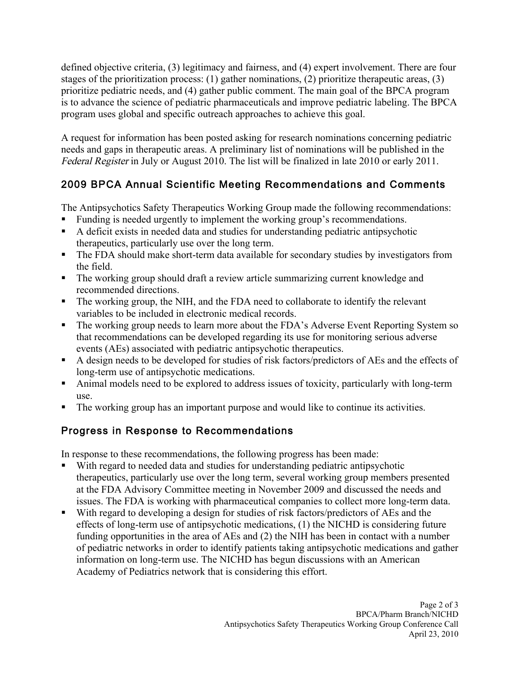defined objective criteria, (3) legitimacy and fairness, and (4) expert involvement. There are four stages of the prioritization process: (1) gather nominations, (2) prioritize therapeutic areas, (3) prioritize pediatric needs, and (4) gather public comment. The main goal of the BPCA program is to advance the science of pediatric pharmaceuticals and improve pediatric labeling. The BPCA program uses global and specific outreach approaches to achieve this goal.

A request for information has been posted asking for research nominations concerning pediatric needs and gaps in therapeutic areas. A preliminary list of nominations will be published in the Federal Register in July or August 2010. The list will be finalized in late 2010 or early 2011.

# 2009 BPCA Annual Scientific Meeting Recommendations and Comments

The Antipsychotics Safety Therapeutics Working Group made the following recommendations:

- Funding is needed urgently to implement the working group's recommendations.
- therapeutics, particularly use over the long term. A deficit exists in needed data and studies for understanding pediatric antipsychotic
- The FDA should make short-term data available for secondary studies by investigators from the field.
- The working group should draft a review article summarizing current knowledge and recommended directions.
- The working group, the NIH, and the FDA need to collaborate to identify the relevant variables to be included in electronic medical records.
- The working group needs to learn more about the FDA's Adverse Event Reporting System so that recommendations can be developed regarding its use for monitoring serious adverse events (AEs) associated with pediatric antipsychotic therapeutics.
- A design needs to be developed for studies of risk factors/predictors of AEs and the effects of long-term use of antipsychotic medications.
- Animal models need to be explored to address issues of toxicity, particularly with long-term use.
- The working group has an important purpose and would like to continue its activities.

# Progress in Response to Recommendations

In response to these recommendations, the following progress has been made:

- With regard to needed data and studies for understanding pediatric antipsychotic therapeutics, particularly use over the long term, several working group members presented at the FDA Advisory Committee meeting in November 2009 and discussed the needs and issues. The FDA is working with pharmaceutical companies to collect more long-term data.
- With regard to developing a design for studies of risk factors/predictors of AEs and the effects of long-term use of antipsychotic medications, (1) the NICHD is considering future funding opportunities in the area of AEs and (2) the NIH has been in contact with a number of pediatric networks in order to identify patients taking antipsychotic medications and gather information on long-term use. The NICHD has begun discussions with an American Academy of Pediatrics network that is considering this effort.